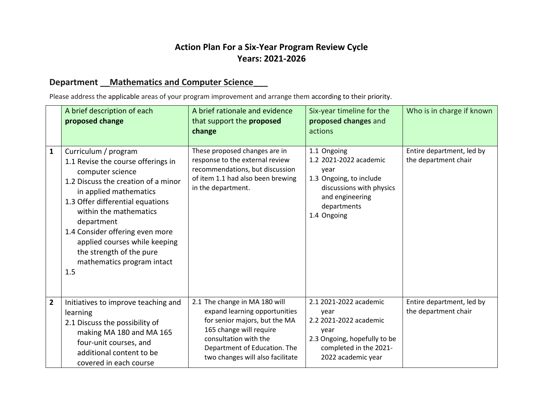## **Action Plan For a Six-Year Program Review Cycle Years: 2021-2026**

## **Department \_\_Mathematics and Computer Science\_\_\_**

Please address the applicable areas of your program improvement and arrange them according to their priority.

|                | A brief description of each<br>proposed change                                                                                                                                                                                                                                                                                                                   | A brief rationale and evidence<br>that support the proposed<br>change                                                                                                                                                   | Six-year timeline for the<br>proposed changes and<br>actions                                                                                          | Who is in charge if known                         |
|----------------|------------------------------------------------------------------------------------------------------------------------------------------------------------------------------------------------------------------------------------------------------------------------------------------------------------------------------------------------------------------|-------------------------------------------------------------------------------------------------------------------------------------------------------------------------------------------------------------------------|-------------------------------------------------------------------------------------------------------------------------------------------------------|---------------------------------------------------|
| $\mathbf{1}$   | Curriculum / program<br>1.1 Revise the course offerings in<br>computer science<br>1.2 Discuss the creation of a minor<br>in applied mathematics<br>1.3 Offer differential equations<br>within the mathematics<br>department<br>1.4 Consider offering even more<br>applied courses while keeping<br>the strength of the pure<br>mathematics program intact<br>1.5 | These proposed changes are in<br>response to the external review<br>recommendations, but discussion<br>of item 1.1 had also been brewing<br>in the department.                                                          | 1.1 Ongoing<br>1.2 2021-2022 academic<br>year<br>1.3 Ongoing, to include<br>discussions with physics<br>and engineering<br>departments<br>1.4 Ongoing | Entire department, led by<br>the department chair |
| $\overline{2}$ | Initiatives to improve teaching and<br>learning<br>2.1 Discuss the possibility of<br>making MA 180 and MA 165<br>four-unit courses, and<br>additional content to be<br>covered in each course                                                                                                                                                                    | 2.1 The change in MA 180 will<br>expand learning opportunities<br>for senior majors, but the MA<br>165 change will require<br>consultation with the<br>Department of Education. The<br>two changes will also facilitate | 2.1 2021-2022 academic<br>year<br>2.2 2021-2022 academic<br>year<br>2.3 Ongoing, hopefully to be<br>completed in the 2021-<br>2022 academic year      | Entire department, led by<br>the department chair |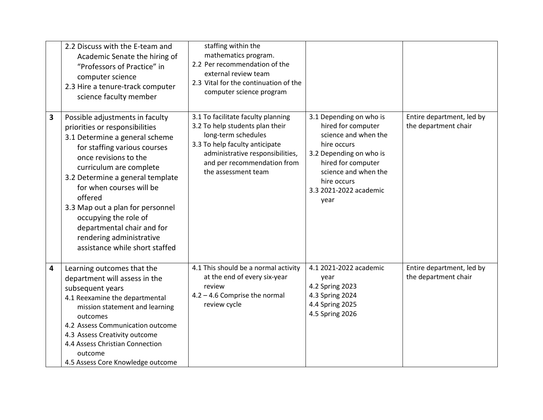|                | 2.2 Discuss with the E-team and<br>Academic Senate the hiring of<br>"Professors of Practice" in<br>computer science<br>2.3 Hire a tenure-track computer<br>science faculty member                                                                                                                                                                                                                                           | staffing within the<br>mathematics program.<br>2.2 Per recommendation of the<br>external review team<br>2.3 Vital for the continuation of the<br>computer science program                                                |                                                                                                                                                                                                                |                                                   |
|----------------|-----------------------------------------------------------------------------------------------------------------------------------------------------------------------------------------------------------------------------------------------------------------------------------------------------------------------------------------------------------------------------------------------------------------------------|--------------------------------------------------------------------------------------------------------------------------------------------------------------------------------------------------------------------------|----------------------------------------------------------------------------------------------------------------------------------------------------------------------------------------------------------------|---------------------------------------------------|
| 3              | Possible adjustments in faculty<br>priorities or responsibilities<br>3.1 Determine a general scheme<br>for staffing various courses<br>once revisions to the<br>curriculum are complete<br>3.2 Determine a general template<br>for when courses will be<br>offered<br>3.3 Map out a plan for personnel<br>occupying the role of<br>departmental chair and for<br>rendering administrative<br>assistance while short staffed | 3.1 To facilitate faculty planning<br>3.2 To help students plan their<br>long-term schedules<br>3.3 To help faculty anticipate<br>administrative responsibilities,<br>and per recommendation from<br>the assessment team | 3.1 Depending on who is<br>hired for computer<br>science and when the<br>hire occurs<br>3.2 Depending on who is<br>hired for computer<br>science and when the<br>hire occurs<br>3.3 2021-2022 academic<br>year | Entire department, led by<br>the department chair |
| $\overline{4}$ | Learning outcomes that the<br>department will assess in the<br>subsequent years<br>4.1 Reexamine the departmental<br>mission statement and learning<br>outcomes<br>4.2 Assess Communication outcome<br>4.3 Assess Creativity outcome<br>4.4 Assess Christian Connection<br>outcome<br>4.5 Assess Core Knowledge outcome                                                                                                     | 4.1 This should be a normal activity<br>at the end of every six-year<br>review<br>$4.2 - 4.6$ Comprise the normal<br>review cycle                                                                                        | 4.1 2021-2022 academic<br>year<br>4.2 Spring 2023<br>4.3 Spring 2024<br>4.4 Spring 2025<br>4.5 Spring 2026                                                                                                     | Entire department, led by<br>the department chair |